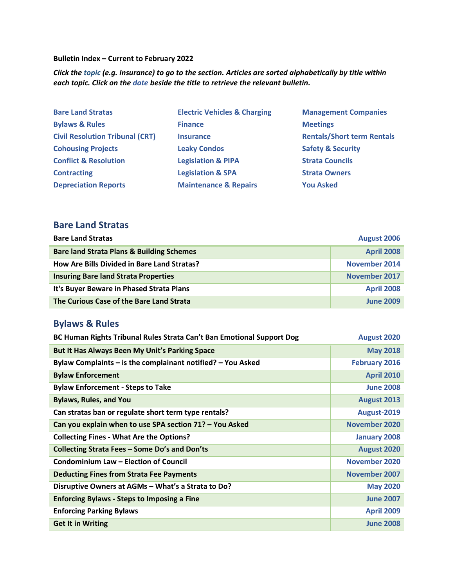**Bulletin Index – Current to February 2022**

*Click the topic (e.g. Insurance) to go to the section. Articles are sorted alphabetically by title within each topic. Click on the date beside the title to retrieve the relevant bulletin.*

| <b>Bare Land Stratas</b>               | <b>Electric Vehicles &amp; Charging</b> | <b>Management Companies</b>       |
|----------------------------------------|-----------------------------------------|-----------------------------------|
| <b>Bylaws &amp; Rules</b>              | <b>Finance</b>                          | <b>Meetings</b>                   |
| <b>Civil Resolution Tribunal (CRT)</b> | <b>Insurance</b>                        | <b>Rentals/Short term Rentals</b> |
| <b>Cohousing Projects</b>              | <b>Leaky Condos</b>                     | <b>Safety &amp; Security</b>      |
| <b>Conflict &amp; Resolution</b>       | <b>Legislation &amp; PIPA</b>           | <b>Strata Councils</b>            |
| <b>Contracting</b>                     | <b>Legislation &amp; SPA</b>            | <b>Strata Owners</b>              |
| <b>Depreciation Reports</b>            | <b>Maintenance &amp; Repairs</b>        | <b>You Asked</b>                  |

#### <span id="page-0-0"></span>**Bare Land Stratas**

| <b>Bare Land Stratas</b>                             | <b>August 2006</b>   |
|------------------------------------------------------|----------------------|
| <b>Bare land Strata Plans &amp; Building Schemes</b> | <b>April 2008</b>    |
| How Are Bills Divided in Bare Land Stratas?          | November 2014        |
| <b>Insuring Bare land Strata Properties</b>          | <b>November 2017</b> |
| It's Buyer Beware in Phased Strata Plans             | <b>April 2008</b>    |
| The Curious Case of the Bare Land Strata             | <b>June 2009</b>     |

### <span id="page-0-1"></span>**Bylaws & Rules**

| BC Human Rights Tribunal Rules Strata Can't Ban Emotional Support Dog | August 2020          |
|-----------------------------------------------------------------------|----------------------|
| But It Has Always Been My Unit's Parking Space                        | <b>May 2018</b>      |
| Bylaw Complaints - is the complainant notified? - You Asked           | <b>February 2016</b> |
| <b>Bylaw Enforcement</b>                                              | <b>April 2010</b>    |
| <b>Bylaw Enforcement - Steps to Take</b>                              | <b>June 2008</b>     |
| <b>Bylaws, Rules, and You</b>                                         | August 2013          |
| Can stratas ban or regulate short term type rentals?                  | August-2019          |
| Can you explain when to use SPA section 71? - You Asked               | November 2020        |
| <b>Collecting Fines - What Are the Options?</b>                       | <b>January 2008</b>  |
| Collecting Strata Fees - Some Do's and Don'ts                         | August 2020          |
| <b>Condominium Law - Election of Council</b>                          | November 2020        |
| <b>Deducting Fines from Strata Fee Payments</b>                       | November 2007        |
| Disruptive Owners at AGMs - What's a Strata to Do?                    | <b>May 2020</b>      |
| <b>Enforcing Bylaws - Steps to Imposing a Fine</b>                    | <b>June 2007</b>     |
| <b>Enforcing Parking Bylaws</b>                                       | <b>April 2009</b>    |
| <b>Get It in Writing</b>                                              | <b>June 2008</b>     |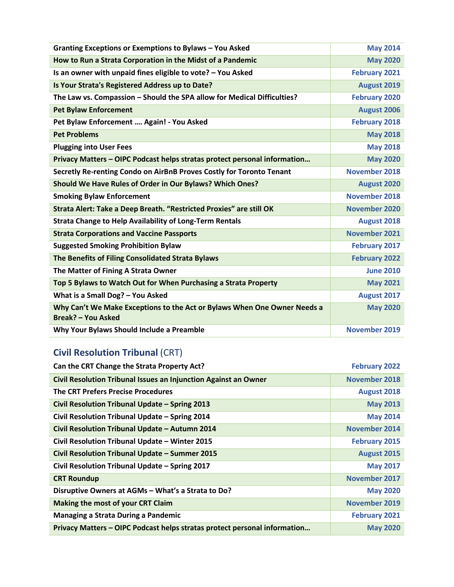| Granting Exceptions or Exemptions to Bylaws - You Asked                                               | <b>May 2014</b>      |
|-------------------------------------------------------------------------------------------------------|----------------------|
| How to Run a Strata Corporation in the Midst of a Pandemic                                            | <b>May 2020</b>      |
| Is an owner with unpaid fines eligible to vote? - You Asked                                           | <b>February 2021</b> |
| Is Your Strata's Registered Address up to Date?                                                       | August 2019          |
| The Law vs. Compassion - Should the SPA allow for Medical Difficulties?                               | <b>February 2020</b> |
| <b>Pet Bylaw Enforcement</b>                                                                          | August 2006          |
| Pet Bylaw Enforcement  Again! - You Asked                                                             | <b>February 2018</b> |
| <b>Pet Problems</b>                                                                                   | <b>May 2018</b>      |
| <b>Plugging into User Fees</b>                                                                        | <b>May 2018</b>      |
| Privacy Matters - OIPC Podcast helps stratas protect personal information                             | <b>May 2020</b>      |
| Secretly Re-renting Condo on AirBnB Proves Costly for Toronto Tenant                                  | <b>November 2018</b> |
| Should We Have Rules of Order in Our Bylaws? Which Ones?                                              | <b>August 2020</b>   |
| <b>Smoking Bylaw Enforcement</b>                                                                      | <b>November 2018</b> |
| Strata Alert: Take a Deep Breath. "Restricted Proxies" are still OK                                   | November 2020        |
| <b>Strata Change to Help Availability of Long-Term Rentals</b>                                        | <b>August 2018</b>   |
| <b>Strata Corporations and Vaccine Passports</b>                                                      | <b>November 2021</b> |
| <b>Suggested Smoking Prohibition Bylaw</b>                                                            | <b>February 2017</b> |
| The Benefits of Filing Consolidated Strata Bylaws                                                     | <b>February 2022</b> |
| The Matter of Fining A Strata Owner                                                                   | <b>June 2010</b>     |
| Top 5 Bylaws to Watch Out for When Purchasing a Strata Property                                       | <b>May 2021</b>      |
| What is a Small Dog? - You Asked                                                                      | August 2017          |
| Why Can't We Make Exceptions to the Act or Bylaws When One Owner Needs a<br><b>Break? - You Asked</b> | <b>May 2020</b>      |
| Why Your Bylaws Should Include a Preamble                                                             | November 2019        |

# <span id="page-1-0"></span>**Civil Resolution Tribunal** (CRT)

| Can the CRT Change the Strata Property Act?                               | <b>February 2022</b> |
|---------------------------------------------------------------------------|----------------------|
| Civil Resolution Tribunal Issues an Injunction Against an Owner           | November 2018        |
| <b>The CRT Prefers Precise Procedures</b>                                 | August 2018          |
| Civil Resolution Tribunal Update - Spring 2013                            | <b>May 2013</b>      |
| Civil Resolution Tribunal Update - Spring 2014                            | <b>May 2014</b>      |
| Civil Resolution Tribunal Update - Autumn 2014                            | <b>November 2014</b> |
| Civil Resolution Tribunal Update - Winter 2015                            | <b>February 2015</b> |
| Civil Resolution Tribunal Update - Summer 2015                            | August 2015          |
| Civil Resolution Tribunal Update - Spring 2017                            | <b>May 2017</b>      |
| <b>CRT Roundup</b>                                                        | <b>November 2017</b> |
| Disruptive Owners at AGMs - What's a Strata to Do?                        | <b>May 2020</b>      |
| Making the most of your CRT Claim                                         | November 2019        |
| Managing a Strata During a Pandemic                                       | <b>February 2021</b> |
| Privacy Matters - OIPC Podcast helps stratas protect personal information | <b>May 2020</b>      |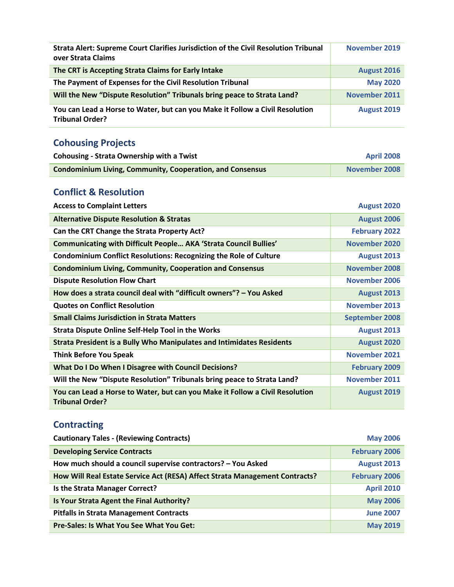| Strata Alert: Supreme Court Clarifies Jurisdiction of the Civil Resolution Tribunal<br>over Strata Claims | <b>November 2019</b> |
|-----------------------------------------------------------------------------------------------------------|----------------------|
| The CRT is Accepting Strata Claims for Early Intake                                                       | August 2016          |
| The Payment of Expenses for the Civil Resolution Tribunal                                                 | <b>May 2020</b>      |
| Will the New "Dispute Resolution" Tribunals bring peace to Strata Land?                                   | <b>November 2011</b> |
| You can Lead a Horse to Water, but can you Make it Follow a Civil Resolution<br><b>Tribunal Order?</b>    | August 2019          |

## <span id="page-2-0"></span>**Cohousing Projects**

| <b>Cohousing - Strata Ownership with a Twist</b>                 | <b>April 2008</b>    |
|------------------------------------------------------------------|----------------------|
| <b>Condominium Living, Community, Cooperation, and Consensus</b> | <b>November 2008</b> |

### <span id="page-2-1"></span>**Conflict & Resolution**

| <b>Access to Complaint Letters</b>                                                                     | August 2020           |
|--------------------------------------------------------------------------------------------------------|-----------------------|
| <b>Alternative Dispute Resolution &amp; Stratas</b>                                                    | August 2006           |
| Can the CRT Change the Strata Property Act?                                                            | <b>February 2022</b>  |
| <b>Communicating with Difficult People AKA 'Strata Council Bullies'</b>                                | November 2020         |
| <b>Condominium Conflict Resolutions: Recognizing the Role of Culture</b>                               | August 2013           |
| <b>Condominium Living, Community, Cooperation and Consensus</b>                                        | <b>November 2008</b>  |
| <b>Dispute Resolution Flow Chart</b>                                                                   | November 2006         |
| How does a strata council deal with "difficult owners"? - You Asked                                    | August 2013           |
| <b>Quotes on Conflict Resolution</b>                                                                   | <b>November 2013</b>  |
| <b>Small Claims Jurisdiction in Strata Matters</b>                                                     | <b>September 2008</b> |
| <b>Strata Dispute Online Self-Help Tool in the Works</b>                                               | August 2013           |
| <b>Strata President is a Bully Who Manipulates and Intimidates Residents</b>                           | August 2020           |
| <b>Think Before You Speak</b>                                                                          | <b>November 2021</b>  |
| What Do I Do When I Disagree with Council Decisions?                                                   | <b>February 2009</b>  |
| Will the New "Dispute Resolution" Tribunals bring peace to Strata Land?                                | November 2011         |
| You can Lead a Horse to Water, but can you Make it Follow a Civil Resolution<br><b>Tribunal Order?</b> | August 2019           |

## <span id="page-2-2"></span>**Contracting**

| <b>Cautionary Tales - (Reviewing Contracts)</b>                             | <b>May 2006</b>      |
|-----------------------------------------------------------------------------|----------------------|
| <b>Developing Service Contracts</b>                                         | <b>February 2006</b> |
| How much should a council supervise contractors? - You Asked                | August 2013          |
| How Will Real Estate Service Act (RESA) Affect Strata Management Contracts? | <b>February 2006</b> |
| Is the Strata Manager Correct?                                              | <b>April 2010</b>    |
| Is Your Strata Agent the Final Authority?                                   | <b>May 2006</b>      |
| <b>Pitfalls in Strata Management Contracts</b>                              | <b>June 2007</b>     |
| Pre-Sales: Is What You See What You Get:                                    | <b>May 2019</b>      |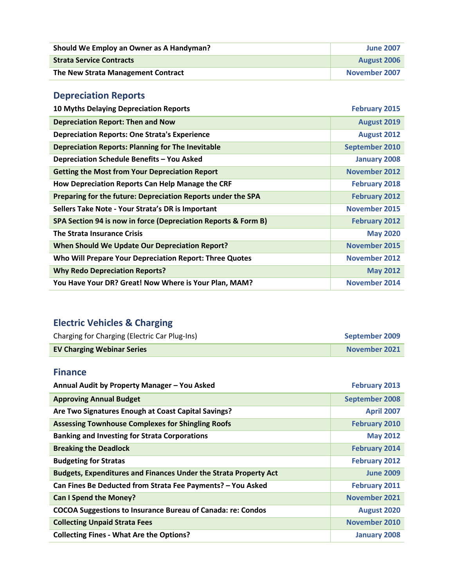| Should We Employ an Owner as A Handyman? | <b>June 2007</b>   |
|------------------------------------------|--------------------|
| <b>Strata Service Contracts</b>          | <b>August 2006</b> |
| The New Strata Management Contract       | November 2007      |

## <span id="page-3-0"></span>**Depreciation Reports**

| <b>10 Myths Delaying Depreciation Reports</b>                  | <b>February 2015</b> |
|----------------------------------------------------------------|----------------------|
| <b>Depreciation Report: Then and Now</b>                       | August 2019          |
| <b>Depreciation Reports: One Strata's Experience</b>           | <b>August 2012</b>   |
| <b>Depreciation Reports: Planning for The Inevitable</b>       | September 2010       |
| Depreciation Schedule Benefits - You Asked                     | <b>January 2008</b>  |
| <b>Getting the Most from Your Depreciation Report</b>          | <b>November 2012</b> |
| How Depreciation Reports Can Help Manage the CRF               | <b>February 2018</b> |
| Preparing for the future: Depreciation Reports under the SPA   | <b>February 2012</b> |
| Sellers Take Note - Your Strata's DR is Important              | November 2015        |
| SPA Section 94 is now in force (Depreciation Reports & Form B) | <b>February 2012</b> |
| <b>The Strata Insurance Crisis</b>                             | <b>May 2020</b>      |
| <b>When Should We Update Our Depreciation Report?</b>          | <b>November 2015</b> |
| Who Will Prepare Your Depreciation Report: Three Quotes        | November 2012        |
| <b>Why Redo Depreciation Reports?</b>                          | <b>May 2012</b>      |
| You Have Your DR? Great! Now Where is Your Plan, MAM?          | November 2014        |

# <span id="page-3-1"></span>**Electric Vehicles & Charging**

| Charging for Charging (Electric Car Plug-Ins) | September 2009 |
|-----------------------------------------------|----------------|
| <b>EV Charging Webinar Series</b>             | November 2021  |

#### <span id="page-3-2"></span>**Finance**

| Annual Audit by Property Manager - You Asked                            | <b>February 2013</b>  |
|-------------------------------------------------------------------------|-----------------------|
| <b>Approving Annual Budget</b>                                          | <b>September 2008</b> |
| Are Two Signatures Enough at Coast Capital Savings?                     | <b>April 2007</b>     |
| <b>Assessing Townhouse Complexes for Shingling Roofs</b>                | <b>February 2010</b>  |
| <b>Banking and Investing for Strata Corporations</b>                    | <b>May 2012</b>       |
| <b>Breaking the Deadlock</b>                                            | <b>February 2014</b>  |
| <b>Budgeting for Stratas</b>                                            | <b>February 2012</b>  |
| <b>Budgets, Expenditures and Finances Under the Strata Property Act</b> | <b>June 2009</b>      |
| Can Fines Be Deducted from Strata Fee Payments? - You Asked             | <b>February 2011</b>  |
| <b>Can I Spend the Money?</b>                                           | <b>November 2021</b>  |
| <b>COCOA Suggestions to Insurance Bureau of Canada: re: Condos</b>      | <b>August 2020</b>    |
| <b>Collecting Unpaid Strata Fees</b>                                    | November 2010         |
| <b>Collecting Fines - What Are the Options?</b>                         | <b>January 2008</b>   |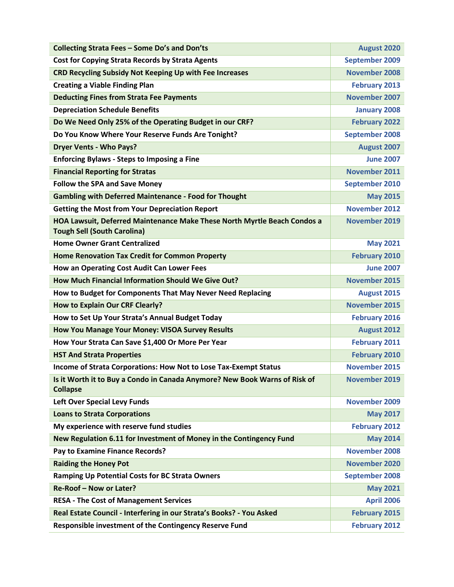| Collecting Strata Fees - Some Do's and Don'ts                                                                  | August 2020           |
|----------------------------------------------------------------------------------------------------------------|-----------------------|
| <b>Cost for Copying Strata Records by Strata Agents</b>                                                        | September 2009        |
| <b>CRD Recycling Subsidy Not Keeping Up with Fee Increases</b>                                                 | <b>November 2008</b>  |
| <b>Creating a Viable Finding Plan</b>                                                                          | <b>February 2013</b>  |
| <b>Deducting Fines from Strata Fee Payments</b>                                                                | <b>November 2007</b>  |
| <b>Depreciation Schedule Benefits</b>                                                                          | <b>January 2008</b>   |
| Do We Need Only 25% of the Operating Budget in our CRF?                                                        | <b>February 2022</b>  |
| Do You Know Where Your Reserve Funds Are Tonight?                                                              | <b>September 2008</b> |
| <b>Dryer Vents - Who Pays?</b>                                                                                 | August 2007           |
| <b>Enforcing Bylaws - Steps to Imposing a Fine</b>                                                             | <b>June 2007</b>      |
| <b>Financial Reporting for Stratas</b>                                                                         | <b>November 2011</b>  |
| <b>Follow the SPA and Save Money</b>                                                                           | <b>September 2010</b> |
| <b>Gambling with Deferred Maintenance - Food for Thought</b>                                                   | <b>May 2015</b>       |
| <b>Getting the Most from Your Depreciation Report</b>                                                          | <b>November 2012</b>  |
| HOA Lawsuit, Deferred Maintenance Make These North Myrtle Beach Condos a<br><b>Tough Sell (South Carolina)</b> | <b>November 2019</b>  |
| <b>Home Owner Grant Centralized</b>                                                                            | <b>May 2021</b>       |
| <b>Home Renovation Tax Credit for Common Property</b>                                                          | <b>February 2010</b>  |
| How an Operating Cost Audit Can Lower Fees                                                                     | <b>June 2007</b>      |
| How Much Financial Information Should We Give Out?                                                             | <b>November 2015</b>  |
| How to Budget for Components That May Never Need Replacing                                                     | August 2015           |
| <b>How to Explain Our CRF Clearly?</b>                                                                         | <b>November 2015</b>  |
| How to Set Up Your Strata's Annual Budget Today                                                                | <b>February 2016</b>  |
| How You Manage Your Money: VISOA Survey Results                                                                | August 2012           |
| How Your Strata Can Save \$1,400 Or More Per Year                                                              | <b>February 2011</b>  |
| <b>HST And Strata Properties</b>                                                                               | <b>February 2010</b>  |
| Income of Strata Corporations: How Not to Lose Tax-Exempt Status                                               | <b>November 2015</b>  |
| Is it Worth it to Buy a Condo in Canada Anymore? New Book Warns of Risk of<br><b>Collapse</b>                  | November 2019         |
| Left Over Special Levy Funds                                                                                   | <b>November 2009</b>  |
| <b>Loans to Strata Corporations</b>                                                                            | <b>May 2017</b>       |
| My experience with reserve fund studies                                                                        | <b>February 2012</b>  |
| New Regulation 6.11 for Investment of Money in the Contingency Fund                                            | <b>May 2014</b>       |
| Pay to Examine Finance Records?                                                                                | <b>November 2008</b>  |
| <b>Raiding the Honey Pot</b>                                                                                   | <b>November 2020</b>  |
| Ramping Up Potential Costs for BC Strata Owners                                                                | <b>September 2008</b> |
| Re-Roof - Now or Later?                                                                                        | <b>May 2021</b>       |
| <b>RESA - The Cost of Management Services</b>                                                                  | <b>April 2006</b>     |
| Real Estate Council - Interfering in our Strata's Books? - You Asked                                           | <b>February 2015</b>  |
| Responsible investment of the Contingency Reserve Fund                                                         | <b>February 2012</b>  |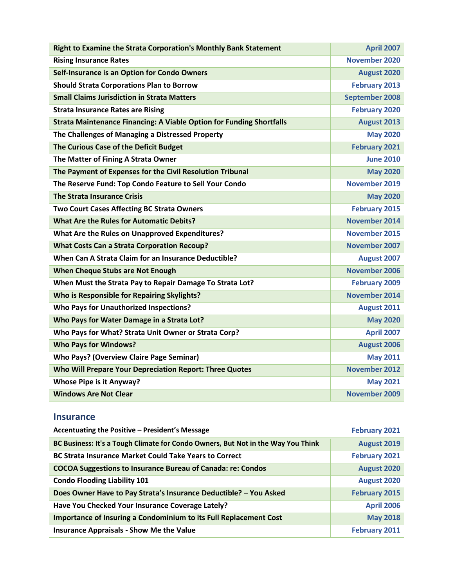| Right to Examine the Strata Corporation's Monthly Bank Statement            | <b>April 2007</b>     |
|-----------------------------------------------------------------------------|-----------------------|
| <b>Rising Insurance Rates</b>                                               | November 2020         |
| Self-Insurance is an Option for Condo Owners                                | <b>August 2020</b>    |
| <b>Should Strata Corporations Plan to Borrow</b>                            | <b>February 2013</b>  |
| <b>Small Claims Jurisdiction in Strata Matters</b>                          | <b>September 2008</b> |
| <b>Strata Insurance Rates are Rising</b>                                    | <b>February 2020</b>  |
| <b>Strata Maintenance Financing: A Viable Option for Funding Shortfalls</b> | <b>August 2013</b>    |
| The Challenges of Managing a Distressed Property                            | <b>May 2020</b>       |
| The Curious Case of the Deficit Budget                                      | <b>February 2021</b>  |
| The Matter of Fining A Strata Owner                                         | <b>June 2010</b>      |
| The Payment of Expenses for the Civil Resolution Tribunal                   | <b>May 2020</b>       |
| The Reserve Fund: Top Condo Feature to Sell Your Condo                      | November 2019         |
| <b>The Strata Insurance Crisis</b>                                          | <b>May 2020</b>       |
| <b>Two Court Cases Affecting BC Strata Owners</b>                           | <b>February 2015</b>  |
| <b>What Are the Rules for Automatic Debits?</b>                             | <b>November 2014</b>  |
| What Are the Rules on Unapproved Expenditures?                              | <b>November 2015</b>  |
| <b>What Costs Can a Strata Corporation Recoup?</b>                          | <b>November 2007</b>  |
| When Can A Strata Claim for an Insurance Deductible?                        | August 2007           |
| <b>When Cheque Stubs are Not Enough</b>                                     | November 2006         |
| When Must the Strata Pay to Repair Damage To Strata Lot?                    | <b>February 2009</b>  |
| <b>Who is Responsible for Repairing Skylights?</b>                          | <b>November 2014</b>  |
| <b>Who Pays for Unauthorized Inspections?</b>                               | August 2011           |
| Who Pays for Water Damage in a Strata Lot?                                  | <b>May 2020</b>       |
| Who Pays for What? Strata Unit Owner or Strata Corp?                        | <b>April 2007</b>     |
| <b>Who Pays for Windows?</b>                                                | August 2006           |
| <b>Who Pays? (Overview Claire Page Seminar)</b>                             | <b>May 2011</b>       |
| Who Will Prepare Your Depreciation Report: Three Quotes                     | <b>November 2012</b>  |
| <b>Whose Pipe is it Anyway?</b>                                             | <b>May 2021</b>       |
| <b>Windows Are Not Clear</b>                                                | November 2009         |

#### <span id="page-5-0"></span>**Insurance**

| Accentuating the Positive - President's Message                                  | <b>February 2021</b> |
|----------------------------------------------------------------------------------|----------------------|
| BC Business: It's a Tough Climate for Condo Owners, But Not in the Way You Think | August 2019          |
| <b>BC Strata Insurance Market Could Take Years to Correct</b>                    | <b>February 2021</b> |
| <b>COCOA Suggestions to Insurance Bureau of Canada: re: Condos</b>               | August 2020          |
| <b>Condo Flooding Liability 101</b>                                              | August 2020          |
| Does Owner Have to Pay Strata's Insurance Deductible? - You Asked                | <b>February 2015</b> |
| Have You Checked Your Insurance Coverage Lately?                                 | <b>April 2006</b>    |
| Importance of Insuring a Condominium to its Full Replacement Cost                | <b>May 2018</b>      |
| <b>Insurance Appraisals - Show Me the Value</b>                                  | <b>February 2011</b> |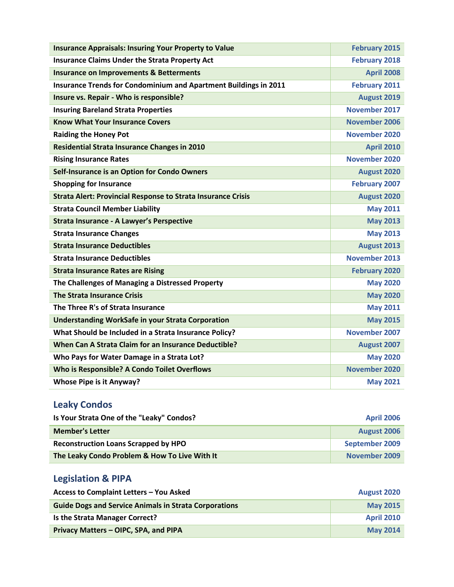| <b>Insurance Appraisals: Insuring Your Property to Value</b>        | <b>February 2015</b> |
|---------------------------------------------------------------------|----------------------|
| <b>Insurance Claims Under the Strata Property Act</b>               | <b>February 2018</b> |
| <b>Insurance on Improvements &amp; Betterments</b>                  | <b>April 2008</b>    |
| Insurance Trends for Condominium and Apartment Buildings in 2011    | <b>February 2011</b> |
| Insure vs. Repair - Who is responsible?                             | August 2019          |
| <b>Insuring Bareland Strata Properties</b>                          | <b>November 2017</b> |
| <b>Know What Your Insurance Covers</b>                              | <b>November 2006</b> |
| <b>Raiding the Honey Pot</b>                                        | <b>November 2020</b> |
| <b>Residential Strata Insurance Changes in 2010</b>                 | <b>April 2010</b>    |
| <b>Rising Insurance Rates</b>                                       | <b>November 2020</b> |
| Self-Insurance is an Option for Condo Owners                        | August 2020          |
| <b>Shopping for Insurance</b>                                       | <b>February 2007</b> |
| <b>Strata Alert: Provincial Response to Strata Insurance Crisis</b> | August 2020          |
| <b>Strata Council Member Liability</b>                              | <b>May 2011</b>      |
| <b>Strata Insurance - A Lawyer's Perspective</b>                    | <b>May 2013</b>      |
| <b>Strata Insurance Changes</b>                                     | <b>May 2013</b>      |
| <b>Strata Insurance Deductibles</b>                                 | August 2013          |
| <b>Strata Insurance Deductibles</b>                                 | <b>November 2013</b> |
| <b>Strata Insurance Rates are Rising</b>                            | <b>February 2020</b> |
| The Challenges of Managing a Distressed Property                    | <b>May 2020</b>      |
| <b>The Strata Insurance Crisis</b>                                  | <b>May 2020</b>      |
| The Three R's of Strata Insurance                                   | <b>May 2011</b>      |
| <b>Understanding WorkSafe in your Strata Corporation</b>            | <b>May 2015</b>      |
| What Should be Included in a Strata Insurance Policy?               | <b>November 2007</b> |
| When Can A Strata Claim for an Insurance Deductible?                | August 2007          |
| Who Pays for Water Damage in a Strata Lot?                          | <b>May 2020</b>      |
| Who is Responsible? A Condo Toilet Overflows                        | November 2020        |
| <b>Whose Pipe is it Anyway?</b>                                     | <b>May 2021</b>      |

## <span id="page-6-0"></span>**Leaky Condos**

| Is Your Strata One of the "Leaky" Condos?     | <b>April 2006</b> |
|-----------------------------------------------|-------------------|
| <b>Member's Letter</b>                        | August 2006       |
| <b>Reconstruction Loans Scrapped by HPO</b>   | September 2009    |
| The Leaky Condo Problem & How To Live With It | November 2009     |

# <span id="page-6-1"></span>**Legislation & PIPA**

| Access to Complaint Letters - You Asked                      | <b>August 2020</b> |
|--------------------------------------------------------------|--------------------|
| <b>Guide Dogs and Service Animals in Strata Corporations</b> | <b>May 2015</b>    |
| Is the Strata Manager Correct?                               | <b>April 2010</b>  |
| Privacy Matters - OIPC, SPA, and PIPA                        | <b>May 2014</b>    |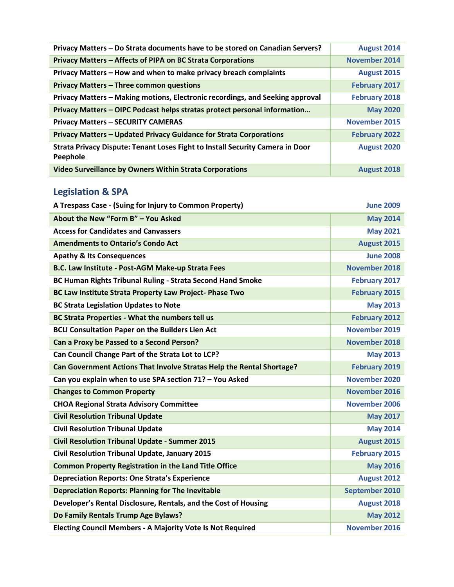| Privacy Matters - Do Strata documents have to be stored on Canadian Servers?              | <b>August 2014</b>   |
|-------------------------------------------------------------------------------------------|----------------------|
| Privacy Matters - Affects of PIPA on BC Strata Corporations                               | <b>November 2014</b> |
| Privacy Matters - How and when to make privacy breach complaints                          | August 2015          |
| Privacy Matters - Three common questions                                                  | <b>February 2017</b> |
| Privacy Matters - Making motions, Electronic recordings, and Seeking approval             | <b>February 2018</b> |
| Privacy Matters - OIPC Podcast helps stratas protect personal information                 | <b>May 2020</b>      |
| <b>Privacy Matters - SECURITY CAMERAS</b>                                                 | <b>November 2015</b> |
| Privacy Matters - Updated Privacy Guidance for Strata Corporations                        | <b>February 2022</b> |
| Strata Privacy Dispute: Tenant Loses Fight to Install Security Camera in Door<br>Peephole | <b>August 2020</b>   |
| Video Surveillance by Owners Within Strata Corporations                                   | <b>August 2018</b>   |

# <span id="page-7-0"></span>**Legislation & SPA**

| A Trespass Case - (Suing for Injury to Common Property)               | <b>June 2009</b>     |
|-----------------------------------------------------------------------|----------------------|
| About the New "Form B" - You Asked                                    | <b>May 2014</b>      |
| <b>Access for Candidates and Canvassers</b>                           | <b>May 2021</b>      |
| <b>Amendments to Ontario's Condo Act</b>                              | August 2015          |
| <b>Apathy &amp; Its Consequences</b>                                  | <b>June 2008</b>     |
| B.C. Law Institute - Post-AGM Make-up Strata Fees                     | <b>November 2018</b> |
| <b>BC Human Rights Tribunal Ruling - Strata Second Hand Smoke</b>     | <b>February 2017</b> |
| BC Law Institute Strata Property Law Project-Phase Two                | <b>February 2015</b> |
| <b>BC Strata Legislation Updates to Note</b>                          | <b>May 2013</b>      |
| <b>BC Strata Properties - What the numbers tell us</b>                | <b>February 2012</b> |
| <b>BCLI Consultation Paper on the Builders Lien Act</b>               | <b>November 2019</b> |
| Can a Proxy be Passed to a Second Person?                             | <b>November 2018</b> |
| Can Council Change Part of the Strata Lot to LCP?                     | <b>May 2013</b>      |
| Can Government Actions That Involve Stratas Help the Rental Shortage? | <b>February 2019</b> |
| Can you explain when to use SPA section 71? - You Asked               | <b>November 2020</b> |
| <b>Changes to Common Property</b>                                     | <b>November 2016</b> |
| <b>CHOA Regional Strata Advisory Committee</b>                        | November 2006        |
| <b>Civil Resolution Tribunal Update</b>                               | <b>May 2017</b>      |
| <b>Civil Resolution Tribunal Update</b>                               | <b>May 2014</b>      |
| <b>Civil Resolution Tribunal Update - Summer 2015</b>                 | August 2015          |
| Civil Resolution Tribunal Update, January 2015                        | <b>February 2015</b> |
| <b>Common Property Registration in the Land Title Office</b>          | <b>May 2016</b>      |
| <b>Depreciation Reports: One Strata's Experience</b>                  | August 2012          |
| <b>Depreciation Reports: Planning for The Inevitable</b>              | September 2010       |
| Developer's Rental Disclosure, Rentals, and the Cost of Housing       | <b>August 2018</b>   |
| Do Family Rentals Trump Age Bylaws?                                   | <b>May 2012</b>      |
| <b>Electing Council Members - A Majority Vote Is Not Required</b>     | <b>November 2016</b> |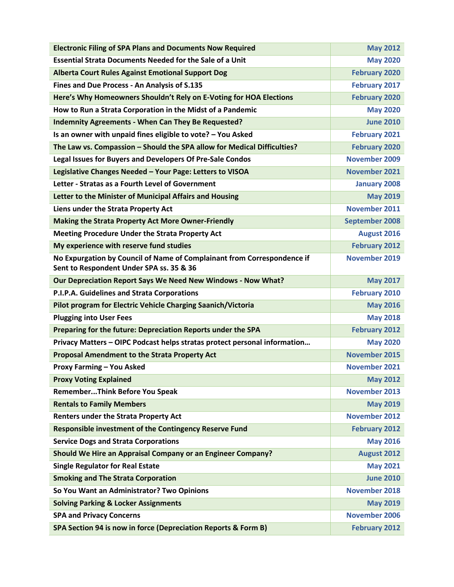| <b>Electronic Filing of SPA Plans and Documents Now Required</b>                                                    | <b>May 2012</b>       |
|---------------------------------------------------------------------------------------------------------------------|-----------------------|
| <b>Essential Strata Documents Needed for the Sale of a Unit</b>                                                     | <b>May 2020</b>       |
| <b>Alberta Court Rules Against Emotional Support Dog</b>                                                            | <b>February 2020</b>  |
| Fines and Due Process - An Analysis of S.135                                                                        | <b>February 2017</b>  |
| Here's Why Homeowners Shouldn't Rely on E-Voting for HOA Elections                                                  | <b>February 2020</b>  |
| How to Run a Strata Corporation in the Midst of a Pandemic                                                          | <b>May 2020</b>       |
| <b>Indemnity Agreements - When Can They Be Requested?</b>                                                           | <b>June 2010</b>      |
| Is an owner with unpaid fines eligible to vote? - You Asked                                                         | <b>February 2021</b>  |
| The Law vs. Compassion - Should the SPA allow for Medical Difficulties?                                             | <b>February 2020</b>  |
| Legal Issues for Buyers and Developers Of Pre-Sale Condos                                                           | <b>November 2009</b>  |
| Legislative Changes Needed - Your Page: Letters to VISOA                                                            | <b>November 2021</b>  |
| Letter - Stratas as a Fourth Level of Government                                                                    | <b>January 2008</b>   |
| Letter to the Minister of Municipal Affairs and Housing                                                             | <b>May 2019</b>       |
| Liens under the Strata Property Act                                                                                 | <b>November 2011</b>  |
| <b>Making the Strata Property Act More Owner-Friendly</b>                                                           | <b>September 2008</b> |
| <b>Meeting Procedure Under the Strata Property Act</b>                                                              | August 2016           |
| My experience with reserve fund studies                                                                             | <b>February 2012</b>  |
| No Expurgation by Council of Name of Complainant from Correspondence if<br>Sent to Respondent Under SPA ss. 35 & 36 | November 2019         |
| Our Depreciation Report Says We Need New Windows - Now What?                                                        | <b>May 2017</b>       |
| P.I.P.A. Guidelines and Strata Corporations                                                                         | <b>February 2010</b>  |
| Pilot program for Electric Vehicle Charging Saanich/Victoria                                                        | <b>May 2016</b>       |
| <b>Plugging into User Fees</b>                                                                                      | <b>May 2018</b>       |
| Preparing for the future: Depreciation Reports under the SPA                                                        | <b>February 2012</b>  |
| Privacy Matters - OIPC Podcast helps stratas protect personal information                                           | <b>May 2020</b>       |
| <b>Proposal Amendment to the Strata Property Act</b>                                                                | <b>November 2015</b>  |
| <b>Proxy Farming - You Asked</b>                                                                                    | <b>November 2021</b>  |
| <b>Proxy Voting Explained</b>                                                                                       | <b>May 2012</b>       |
| <b>RememberThink Before You Speak</b>                                                                               | <b>November 2013</b>  |
| <b>Rentals to Family Members</b>                                                                                    | <b>May 2019</b>       |
| <b>Renters under the Strata Property Act</b>                                                                        | <b>November 2012</b>  |
| <b>Responsible investment of the Contingency Reserve Fund</b>                                                       | <b>February 2012</b>  |
| <b>Service Dogs and Strata Corporations</b>                                                                         | <b>May 2016</b>       |
| Should We Hire an Appraisal Company or an Engineer Company?                                                         | August 2012           |
| <b>Single Regulator for Real Estate</b>                                                                             | <b>May 2021</b>       |
| <b>Smoking and The Strata Corporation</b>                                                                           | <b>June 2010</b>      |
| So You Want an Administrator? Two Opinions                                                                          | <b>November 2018</b>  |
| <b>Solving Parking &amp; Locker Assignments</b>                                                                     | <b>May 2019</b>       |
| <b>SPA and Privacy Concerns</b>                                                                                     | <b>November 2006</b>  |
| SPA Section 94 is now in force (Depreciation Reports & Form B)                                                      | <b>February 2012</b>  |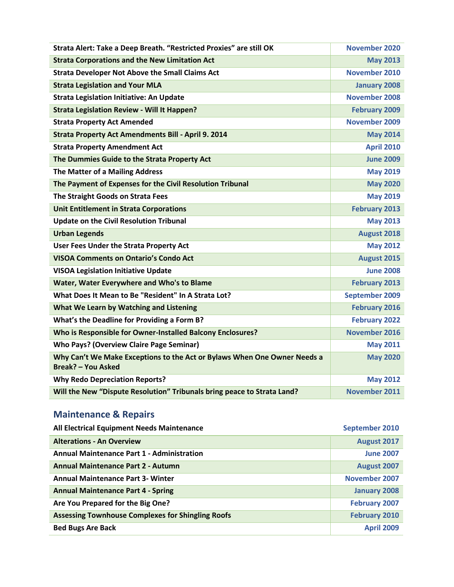| Strata Alert: Take a Deep Breath. "Restricted Proxies" are still OK                                   | <b>November 2020</b> |
|-------------------------------------------------------------------------------------------------------|----------------------|
| <b>Strata Corporations and the New Limitation Act</b>                                                 | <b>May 2013</b>      |
| <b>Strata Developer Not Above the Small Claims Act</b>                                                | <b>November 2010</b> |
| <b>Strata Legislation and Your MLA</b>                                                                | <b>January 2008</b>  |
| <b>Strata Legislation Initiative: An Update</b>                                                       | <b>November 2008</b> |
| <b>Strata Legislation Review - Will It Happen?</b>                                                    | <b>February 2009</b> |
| <b>Strata Property Act Amended</b>                                                                    | <b>November 2009</b> |
| <b>Strata Property Act Amendments Bill - April 9. 2014</b>                                            | <b>May 2014</b>      |
| <b>Strata Property Amendment Act</b>                                                                  | <b>April 2010</b>    |
| The Dummies Guide to the Strata Property Act                                                          | <b>June 2009</b>     |
| The Matter of a Mailing Address                                                                       | <b>May 2019</b>      |
| The Payment of Expenses for the Civil Resolution Tribunal                                             | <b>May 2020</b>      |
| The Straight Goods on Strata Fees                                                                     | <b>May 2019</b>      |
| <b>Unit Entitlement in Strata Corporations</b>                                                        | <b>February 2013</b> |
| <b>Update on the Civil Resolution Tribunal</b>                                                        | <b>May 2013</b>      |
| <b>Urban Legends</b>                                                                                  | August 2018          |
| User Fees Under the Strata Property Act                                                               | <b>May 2012</b>      |
| <b>VISOA Comments on Ontario's Condo Act</b>                                                          | August 2015          |
| <b>VISOA Legislation Initiative Update</b>                                                            | <b>June 2008</b>     |
| Water, Water Everywhere and Who's to Blame                                                            | <b>February 2013</b> |
| What Does It Mean to Be "Resident" In A Strata Lot?                                                   | September 2009       |
| What We Learn by Watching and Listening                                                               | <b>February 2016</b> |
| What's the Deadline for Providing a Form B?                                                           | <b>February 2022</b> |
| Who is Responsible for Owner-Installed Balcony Enclosures?                                            | November 2016        |
| <b>Who Pays? (Overview Claire Page Seminar)</b>                                                       | <b>May 2011</b>      |
| Why Can't We Make Exceptions to the Act or Bylaws When One Owner Needs a<br><b>Break? - You Asked</b> | <b>May 2020</b>      |
| <b>Why Redo Depreciation Reports?</b>                                                                 | <b>May 2012</b>      |
| Will the New "Dispute Resolution" Tribunals bring peace to Strata Land?                               | <b>November 2011</b> |

## <span id="page-9-0"></span>**Maintenance & Repairs**

| <b>All Electrical Equipment Needs Maintenance</b>        | September 2010       |
|----------------------------------------------------------|----------------------|
| <b>Alterations - An Overview</b>                         | August 2017          |
| <b>Annual Maintenance Part 1 - Administration</b>        | <b>June 2007</b>     |
| <b>Annual Maintenance Part 2 - Autumn</b>                | August 2007          |
| <b>Annual Maintenance Part 3- Winter</b>                 | November 2007        |
| <b>Annual Maintenance Part 4 - Spring</b>                | <b>January 2008</b>  |
| Are You Prepared for the Big One?                        | <b>February 2007</b> |
| <b>Assessing Townhouse Complexes for Shingling Roofs</b> | <b>February 2010</b> |
| <b>Bed Bugs Are Back</b>                                 | <b>April 2009</b>    |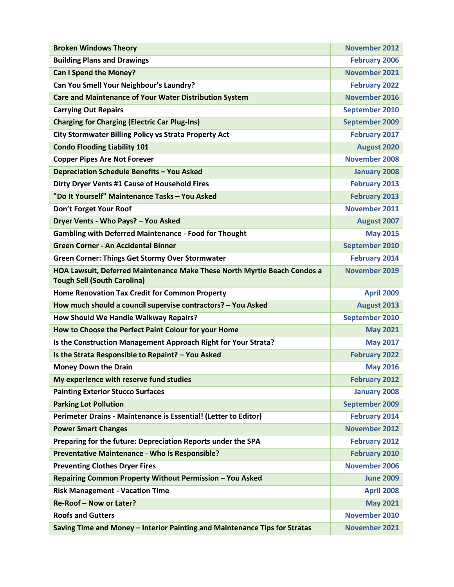| <b>Broken Windows Theory</b>                                                                                   | <b>November 2012</b>  |
|----------------------------------------------------------------------------------------------------------------|-----------------------|
| <b>Building Plans and Drawings</b>                                                                             | <b>February 2006</b>  |
| <b>Can I Spend the Money?</b>                                                                                  | November 2021         |
| Can You Smell Your Neighbour's Laundry?                                                                        | <b>February 2022</b>  |
| <b>Care and Maintenance of Your Water Distribution System</b>                                                  | <b>November 2016</b>  |
| <b>Carrying Out Repairs</b>                                                                                    | September 2010        |
| <b>Charging for Charging (Electric Car Plug-Ins)</b>                                                           | September 2009        |
| <b>City Stormwater Billing Policy vs Strata Property Act</b>                                                   | <b>February 2017</b>  |
| <b>Condo Flooding Liability 101</b>                                                                            | <b>August 2020</b>    |
| <b>Copper Pipes Are Not Forever</b>                                                                            | <b>November 2008</b>  |
| Depreciation Schedule Benefits - You Asked                                                                     | <b>January 2008</b>   |
| Dirty Dryer Vents #1 Cause of Household Fires                                                                  | <b>February 2013</b>  |
| "Do It Yourself" Maintenance Tasks - You Asked                                                                 | <b>February 2013</b>  |
| Don't Forget Your Roof                                                                                         | <b>November 2011</b>  |
| Dryer Vents - Who Pays? - You Asked                                                                            | August 2007           |
| <b>Gambling with Deferred Maintenance - Food for Thought</b>                                                   | <b>May 2015</b>       |
| <b>Green Corner - An Accidental Binner</b>                                                                     | September 2010        |
| <b>Green Corner: Things Get Stormy Over Stormwater</b>                                                         | <b>February 2014</b>  |
| HOA Lawsuit, Deferred Maintenance Make These North Myrtle Beach Condos a<br><b>Tough Sell (South Carolina)</b> | <b>November 2019</b>  |
| Home Renovation Tax Credit for Common Property                                                                 | <b>April 2009</b>     |
| How much should a council supervise contractors? - You Asked                                                   | August 2013           |
| How Should We Handle Walkway Repairs?                                                                          | <b>September 2010</b> |
| How to Choose the Perfect Paint Colour for your Home                                                           | <b>May 2021</b>       |
| Is the Construction Management Approach Right for Your Strata?                                                 | <b>May 2017</b>       |
| Is the Strata Responsible to Repaint? - You Asked                                                              | <b>February 2022</b>  |
| <b>Money Down the Drain</b>                                                                                    | <b>May 2016</b>       |
| My experience with reserve fund studies                                                                        | <b>February 2012</b>  |
| <b>Painting Exterior Stucco Surfaces</b>                                                                       | <b>January 2008</b>   |
| <b>Parking Lot Pollution</b>                                                                                   | <b>September 2009</b> |
| Perimeter Drains - Maintenance is Essential! (Letter to Editor)                                                | <b>February 2014</b>  |
| <b>Power Smart Changes</b>                                                                                     | <b>November 2012</b>  |
| Preparing for the future: Depreciation Reports under the SPA                                                   | <b>February 2012</b>  |
| Preventative Maintenance - Who Is Responsible?                                                                 | <b>February 2010</b>  |
| <b>Preventing Clothes Dryer Fires</b>                                                                          | <b>November 2006</b>  |
| Repairing Common Property Without Permission - You Asked                                                       | <b>June 2009</b>      |
| <b>Risk Management - Vacation Time</b>                                                                         | <b>April 2008</b>     |
| Re-Roof - Now or Later?                                                                                        | <b>May 2021</b>       |
| <b>Roofs and Gutters</b>                                                                                       | November 2010         |
| Saving Time and Money - Interior Painting and Maintenance Tips for Stratas                                     | November 2021         |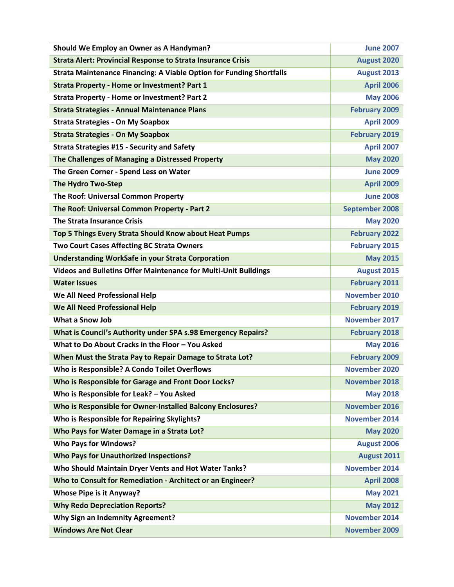| Should We Employ an Owner as A Handyman?                                    | <b>June 2007</b>      |
|-----------------------------------------------------------------------------|-----------------------|
| <b>Strata Alert: Provincial Response to Strata Insurance Crisis</b>         | <b>August 2020</b>    |
| <b>Strata Maintenance Financing: A Viable Option for Funding Shortfalls</b> | August 2013           |
| <b>Strata Property - Home or Investment? Part 1</b>                         | <b>April 2006</b>     |
| <b>Strata Property - Home or Investment? Part 2</b>                         | <b>May 2006</b>       |
| <b>Strata Strategies - Annual Maintenance Plans</b>                         | <b>February 2009</b>  |
| <b>Strata Strategies - On My Soapbox</b>                                    | <b>April 2009</b>     |
| <b>Strata Strategies - On My Soapbox</b>                                    | <b>February 2019</b>  |
| <b>Strata Strategies #15 - Security and Safety</b>                          | <b>April 2007</b>     |
| The Challenges of Managing a Distressed Property                            | <b>May 2020</b>       |
| The Green Corner - Spend Less on Water                                      | <b>June 2009</b>      |
| The Hydro Two-Step                                                          | <b>April 2009</b>     |
| The Roof: Universal Common Property                                         | <b>June 2008</b>      |
| The Roof: Universal Common Property - Part 2                                | <b>September 2008</b> |
| <b>The Strata Insurance Crisis</b>                                          | <b>May 2020</b>       |
| Top 5 Things Every Strata Should Know about Heat Pumps                      | <b>February 2022</b>  |
| <b>Two Court Cases Affecting BC Strata Owners</b>                           | <b>February 2015</b>  |
| <b>Understanding WorkSafe in your Strata Corporation</b>                    | <b>May 2015</b>       |
| <b>Videos and Bulletins Offer Maintenance for Multi-Unit Buildings</b>      | August 2015           |
| <b>Water Issues</b>                                                         | <b>February 2011</b>  |
| We All Need Professional Help                                               | November 2010         |
| <b>We All Need Professional Help</b>                                        | <b>February 2019</b>  |
| <b>What a Snow Job</b>                                                      | November 2017         |
| What is Council's Authority under SPA s.98 Emergency Repairs?               | <b>February 2018</b>  |
| What to Do About Cracks in the Floor - You Asked                            | <b>May 2016</b>       |
| When Must the Strata Pay to Repair Damage to Strata Lot?                    | <b>February 2009</b>  |
| Who is Responsible? A Condo Toilet Overflows                                | <b>November 2020</b>  |
| Who is Responsible for Garage and Front Door Locks?                         | <b>November 2018</b>  |
| Who is Responsible for Leak? - You Asked                                    | <b>May 2018</b>       |
| Who is Responsible for Owner-Installed Balcony Enclosures?                  | November 2016         |
| Who is Responsible for Repairing Skylights?                                 | <b>November 2014</b>  |
| Who Pays for Water Damage in a Strata Lot?                                  | <b>May 2020</b>       |
| <b>Who Pays for Windows?</b>                                                | August 2006           |
| <b>Who Pays for Unauthorized Inspections?</b>                               | August 2011           |
| Who Should Maintain Dryer Vents and Hot Water Tanks?                        | <b>November 2014</b>  |
| Who to Consult for Remediation - Architect or an Engineer?                  | <b>April 2008</b>     |
| Whose Pipe is it Anyway?                                                    | <b>May 2021</b>       |
| <b>Why Redo Depreciation Reports?</b>                                       | <b>May 2012</b>       |
| <b>Why Sign an Indemnity Agreement?</b>                                     | <b>November 2014</b>  |
| <b>Windows Are Not Clear</b>                                                | November 2009         |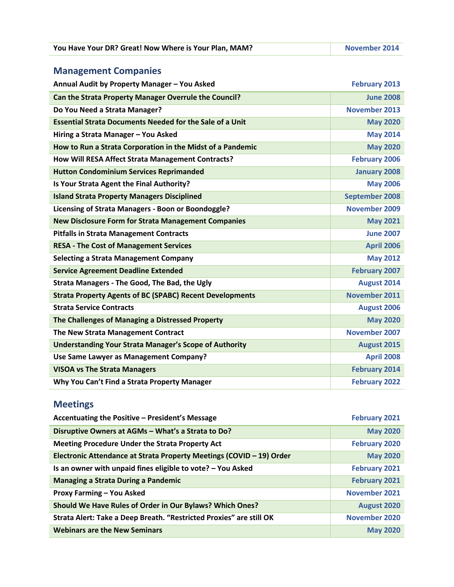| You Have Your DR? Great! Now Where is Your Plan, MAM? | <b>November 2014</b> |
|-------------------------------------------------------|----------------------|
|-------------------------------------------------------|----------------------|

# <span id="page-12-0"></span>**Management Companies**

| Annual Audit by Property Manager - You Asked                    | <b>February 2013</b>  |
|-----------------------------------------------------------------|-----------------------|
| Can the Strata Property Manager Overrule the Council?           | <b>June 2008</b>      |
| Do You Need a Strata Manager?                                   | <b>November 2013</b>  |
| <b>Essential Strata Documents Needed for the Sale of a Unit</b> | <b>May 2020</b>       |
| Hiring a Strata Manager - You Asked                             | <b>May 2014</b>       |
| How to Run a Strata Corporation in the Midst of a Pandemic      | <b>May 2020</b>       |
| <b>How Will RESA Affect Strata Management Contracts?</b>        | <b>February 2006</b>  |
| <b>Hutton Condominium Services Reprimanded</b>                  | <b>January 2008</b>   |
| Is Your Strata Agent the Final Authority?                       | <b>May 2006</b>       |
| <b>Island Strata Property Managers Disciplined</b>              | <b>September 2008</b> |
| Licensing of Strata Managers - Boon or Boondoggle?              | <b>November 2009</b>  |
| <b>New Disclosure Form for Strata Management Companies</b>      | <b>May 2021</b>       |
| <b>Pitfalls in Strata Management Contracts</b>                  | <b>June 2007</b>      |
| <b>RESA - The Cost of Management Services</b>                   | <b>April 2006</b>     |
| <b>Selecting a Strata Management Company</b>                    | <b>May 2012</b>       |
| <b>Service Agreement Deadline Extended</b>                      | <b>February 2007</b>  |
| Strata Managers - The Good, The Bad, the Ugly                   | August 2014           |
| <b>Strata Property Agents of BC (SPABC) Recent Developments</b> | November 2011         |
| <b>Strata Service Contracts</b>                                 | August 2006           |
| The Challenges of Managing a Distressed Property                | <b>May 2020</b>       |
| <b>The New Strata Management Contract</b>                       | <b>November 2007</b>  |
| <b>Understanding Your Strata Manager's Scope of Authority</b>   | August 2015           |
| Use Same Lawyer as Management Company?                          | <b>April 2008</b>     |
| <b>VISOA vs The Strata Managers</b>                             | <b>February 2014</b>  |
| Why You Can't Find a Strata Property Manager                    | <b>February 2022</b>  |

# <span id="page-12-1"></span>**Meetings**

| Accentuating the Positive - President's Message                      | <b>February 2021</b> |
|----------------------------------------------------------------------|----------------------|
| Disruptive Owners at AGMs - What's a Strata to Do?                   | <b>May 2020</b>      |
| Meeting Procedure Under the Strata Property Act                      | <b>February 2020</b> |
| Electronic Attendance at Strata Property Meetings (COVID - 19) Order | <b>May 2020</b>      |
| Is an owner with unpaid fines eligible to vote? - You Asked          | <b>February 2021</b> |
| <b>Managing a Strata During a Pandemic</b>                           | <b>February 2021</b> |
| <b>Proxy Farming - You Asked</b>                                     | <b>November 2021</b> |
| Should We Have Rules of Order in Our Bylaws? Which Ones?             | August 2020          |
| Strata Alert: Take a Deep Breath. "Restricted Proxies" are still OK  | November 2020        |
| <b>Webinars are the New Seminars</b>                                 | <b>May 2020</b>      |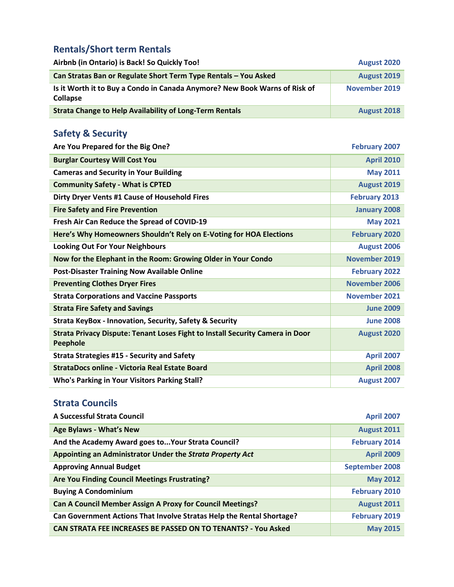### <span id="page-13-0"></span>**Rentals/Short term Rentals**

| Airbnb (in Ontario) is Back! So Quickly Too!                                                  | <b>August 2020</b> |
|-----------------------------------------------------------------------------------------------|--------------------|
| Can Stratas Ban or Regulate Short Term Type Rentals - You Asked                               | <b>August 2019</b> |
| Is it Worth it to Buy a Condo in Canada Anymore? New Book Warns of Risk of<br><b>Collapse</b> | November 2019      |
| <b>Strata Change to Help Availability of Long-Term Rentals</b>                                | <b>August 2018</b> |

## <span id="page-13-1"></span>**Safety & Security**

| Are You Prepared for the Big One?                                                                       | <b>February 2007</b> |
|---------------------------------------------------------------------------------------------------------|----------------------|
| <b>Burglar Courtesy Will Cost You</b>                                                                   | <b>April 2010</b>    |
| <b>Cameras and Security in Your Building</b>                                                            | <b>May 2011</b>      |
| <b>Community Safety - What is CPTED</b>                                                                 | August 2019          |
| Dirty Dryer Vents #1 Cause of Household Fires                                                           | <b>February 2013</b> |
| <b>Fire Safety and Fire Prevention</b>                                                                  | <b>January 2008</b>  |
| Fresh Air Can Reduce the Spread of COVID-19                                                             | <b>May 2021</b>      |
| Here's Why Homeowners Shouldn't Rely on E-Voting for HOA Elections                                      | <b>February 2020</b> |
| <b>Looking Out For Your Neighbours</b>                                                                  | August 2006          |
| Now for the Elephant in the Room: Growing Older in Your Condo                                           | <b>November 2019</b> |
| <b>Post-Disaster Training Now Available Online</b>                                                      | <b>February 2022</b> |
| <b>Preventing Clothes Dryer Fires</b>                                                                   | <b>November 2006</b> |
| <b>Strata Corporations and Vaccine Passports</b>                                                        | November 2021        |
| <b>Strata Fire Safety and Savings</b>                                                                   | <b>June 2009</b>     |
| Strata KeyBox - Innovation, Security, Safety & Security                                                 | <b>June 2008</b>     |
| <b>Strata Privacy Dispute: Tenant Loses Fight to Install Security Camera in Door</b><br><b>Peephole</b> | August 2020          |
| <b>Strata Strategies #15 - Security and Safety</b>                                                      | <b>April 2007</b>    |
| <b>StrataDocs online - Victoria Real Estate Board</b>                                                   | <b>April 2008</b>    |
| <b>Who's Parking in Your Visitors Parking Stall?</b>                                                    | August 2007          |

#### <span id="page-13-2"></span>**Strata Councils**

| A Successful Strata Council                                           | <b>April 2007</b>     |
|-----------------------------------------------------------------------|-----------------------|
| <b>Age Bylaws - What's New</b>                                        | <b>August 2011</b>    |
| And the Academy Award goes to Your Strata Council?                    | <b>February 2014</b>  |
| Appointing an Administrator Under the Strata Property Act             | <b>April 2009</b>     |
| <b>Approving Annual Budget</b>                                        | <b>September 2008</b> |
| Are You Finding Council Meetings Frustrating?                         | <b>May 2012</b>       |
| <b>Buying A Condominium</b>                                           | <b>February 2010</b>  |
| <b>Can A Council Member Assign A Proxy for Council Meetings?</b>      | <b>August 2011</b>    |
| Can Government Actions That Involve Stratas Help the Rental Shortage? | <b>February 2019</b>  |
| CAN STRATA FEE INCREASES BE PASSED ON TO TENANTS? - You Asked         | <b>May 2015</b>       |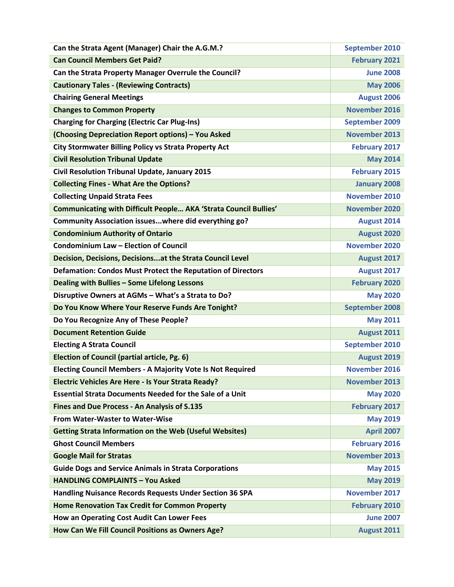| Can the Strata Agent (Manager) Chair the A.G.M.?                        | <b>September 2010</b> |
|-------------------------------------------------------------------------|-----------------------|
| <b>Can Council Members Get Paid?</b>                                    | <b>February 2021</b>  |
| Can the Strata Property Manager Overrule the Council?                   | <b>June 2008</b>      |
| <b>Cautionary Tales - (Reviewing Contracts)</b>                         | <b>May 2006</b>       |
| <b>Chairing General Meetings</b>                                        | August 2006           |
| <b>Changes to Common Property</b>                                       | <b>November 2016</b>  |
| <b>Charging for Charging (Electric Car Plug-Ins)</b>                    | <b>September 2009</b> |
| (Choosing Depreciation Report options) - You Asked                      | <b>November 2013</b>  |
| <b>City Stormwater Billing Policy vs Strata Property Act</b>            | <b>February 2017</b>  |
| <b>Civil Resolution Tribunal Update</b>                                 | <b>May 2014</b>       |
| Civil Resolution Tribunal Update, January 2015                          | <b>February 2015</b>  |
| <b>Collecting Fines - What Are the Options?</b>                         | <b>January 2008</b>   |
| <b>Collecting Unpaid Strata Fees</b>                                    | November 2010         |
| <b>Communicating with Difficult People AKA 'Strata Council Bullies'</b> | <b>November 2020</b>  |
| Community Association issueswhere did everything go?                    | August 2014           |
| <b>Condominium Authority of Ontario</b>                                 | August 2020           |
| Condominium Law - Election of Council                                   | <b>November 2020</b>  |
| Decision, Decisions, Decisionsat the Strata Council Level               | August 2017           |
| <b>Defamation: Condos Must Protect the Reputation of Directors</b>      | August 2017           |
| Dealing with Bullies - Some Lifelong Lessons                            | <b>February 2020</b>  |
| Disruptive Owners at AGMs - What's a Strata to Do?                      | <b>May 2020</b>       |
| Do You Know Where Your Reserve Funds Are Tonight?                       | <b>September 2008</b> |
| Do You Recognize Any of These People?                                   | <b>May 2011</b>       |
| <b>Document Retention Guide</b>                                         | <b>August 2011</b>    |
| <b>Electing A Strata Council</b>                                        | <b>September 2010</b> |
| <b>Election of Council (partial article, Pg. 6)</b>                     | <b>August 2019</b>    |
| <b>Electing Council Members - A Majority Vote Is Not Required</b>       | November 2016         |
| Electric Vehicles Are Here - Is Your Strata Ready?                      | <b>November 2013</b>  |
| <b>Essential Strata Documents Needed for the Sale of a Unit</b>         | <b>May 2020</b>       |
| Fines and Due Process - An Analysis of S.135                            | <b>February 2017</b>  |
| From Water-Waster to Water-Wise                                         | <b>May 2019</b>       |
| <b>Getting Strata Information on the Web (Useful Websites)</b>          | <b>April 2007</b>     |
| <b>Ghost Council Members</b>                                            | <b>February 2016</b>  |
| <b>Google Mail for Stratas</b>                                          | <b>November 2013</b>  |
| <b>Guide Dogs and Service Animals in Strata Corporations</b>            | <b>May 2015</b>       |
| <b>HANDLING COMPLAINTS - You Asked</b>                                  | <b>May 2019</b>       |
| <b>Handling Nuisance Records Requests Under Section 36 SPA</b>          | <b>November 2017</b>  |
| <b>Home Renovation Tax Credit for Common Property</b>                   | <b>February 2010</b>  |
| How an Operating Cost Audit Can Lower Fees                              | <b>June 2007</b>      |
| How Can We Fill Council Positions as Owners Age?                        | <b>August 2011</b>    |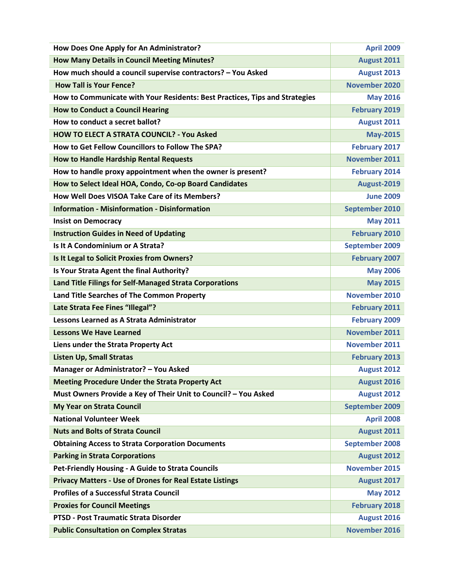| How Does One Apply for An Administrator?                                    | <b>April 2009</b>     |
|-----------------------------------------------------------------------------|-----------------------|
| <b>How Many Details in Council Meeting Minutes?</b>                         | <b>August 2011</b>    |
| How much should a council supervise contractors? - You Asked                | August 2013           |
| <b>How Tall is Your Fence?</b>                                              | <b>November 2020</b>  |
| How to Communicate with Your Residents: Best Practices, Tips and Strategies | <b>May 2016</b>       |
| <b>How to Conduct a Council Hearing</b>                                     | <b>February 2019</b>  |
| How to conduct a secret ballot?                                             | August 2011           |
| <b>HOW TO ELECT A STRATA COUNCIL? - You Asked</b>                           | <b>May-2015</b>       |
| How to Get Fellow Councillors to Follow The SPA?                            | <b>February 2017</b>  |
| <b>How to Handle Hardship Rental Requests</b>                               | November 2011         |
| How to handle proxy appointment when the owner is present?                  | <b>February 2014</b>  |
| How to Select Ideal HOA, Condo, Co-op Board Candidates                      | August-2019           |
| How Well Does VISOA Take Care of its Members?                               | <b>June 2009</b>      |
| <b>Information - Misinformation - Disinformation</b>                        | <b>September 2010</b> |
| <b>Insist on Democracy</b>                                                  | <b>May 2011</b>       |
| <b>Instruction Guides in Need of Updating</b>                               | <b>February 2010</b>  |
| Is It A Condominium or A Strata?                                            | September 2009        |
| Is It Legal to Solicit Proxies from Owners?                                 | <b>February 2007</b>  |
| Is Your Strata Agent the final Authority?                                   | <b>May 2006</b>       |
| Land Title Filings for Self-Managed Strata Corporations                     | <b>May 2015</b>       |
| Land Title Searches of The Common Property                                  | <b>November 2010</b>  |
| Late Strata Fee Fines "Illegal"?                                            | <b>February 2011</b>  |
| Lessons Learned as A Strata Administrator                                   | <b>February 2009</b>  |
| <b>Lessons We Have Learned</b>                                              | <b>November 2011</b>  |
| Liens under the Strata Property Act                                         | <b>November 2011</b>  |
| <b>Listen Up, Small Stratas</b>                                             | <b>February 2013</b>  |
| Manager or Administrator? - You Asked                                       | <b>August 2012</b>    |
| <b>Meeting Procedure Under the Strata Property Act</b>                      | August 2016           |
| Must Owners Provide a Key of Their Unit to Council? - You Asked             | <b>August 2012</b>    |
| <b>My Year on Strata Council</b>                                            | <b>September 2009</b> |
| <b>National Volunteer Week</b>                                              | <b>April 2008</b>     |
| <b>Nuts and Bolts of Strata Council</b>                                     | <b>August 2011</b>    |
| <b>Obtaining Access to Strata Corporation Documents</b>                     | <b>September 2008</b> |
| <b>Parking in Strata Corporations</b>                                       | August 2012           |
| Pet-Friendly Housing - A Guide to Strata Councils                           | <b>November 2015</b>  |
| <b>Privacy Matters - Use of Drones for Real Estate Listings</b>             | August 2017           |
| <b>Profiles of a Successful Strata Council</b>                              | <b>May 2012</b>       |
| <b>Proxies for Council Meetings</b>                                         | <b>February 2018</b>  |
| PTSD - Post Traumatic Strata Disorder                                       | <b>August 2016</b>    |
| <b>Public Consultation on Complex Stratas</b>                               | November 2016         |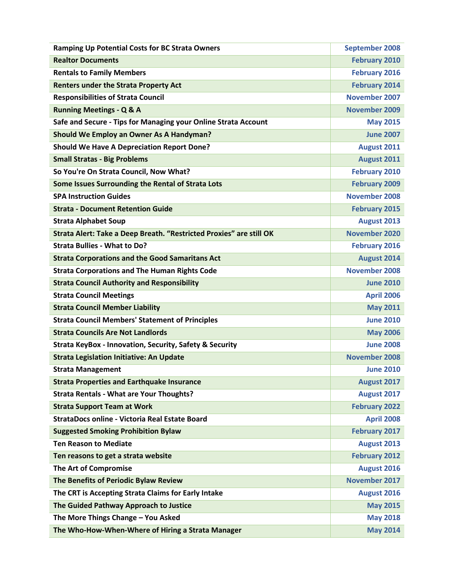| <b>Ramping Up Potential Costs for BC Strata Owners</b>              | <b>September 2008</b> |
|---------------------------------------------------------------------|-----------------------|
| <b>Realtor Documents</b>                                            | <b>February 2010</b>  |
| <b>Rentals to Family Members</b>                                    | <b>February 2016</b>  |
| <b>Renters under the Strata Property Act</b>                        | <b>February 2014</b>  |
| <b>Responsibilities of Strata Council</b>                           | <b>November 2007</b>  |
| <b>Running Meetings - Q &amp; A</b>                                 | <b>November 2009</b>  |
| Safe and Secure - Tips for Managing your Online Strata Account      | <b>May 2015</b>       |
| Should We Employ an Owner As A Handyman?                            | <b>June 2007</b>      |
| <b>Should We Have A Depreciation Report Done?</b>                   | August 2011           |
| <b>Small Stratas - Big Problems</b>                                 | August 2011           |
| So You're On Strata Council, Now What?                              | <b>February 2010</b>  |
| Some Issues Surrounding the Rental of Strata Lots                   | <b>February 2009</b>  |
| <b>SPA Instruction Guides</b>                                       | <b>November 2008</b>  |
| <b>Strata - Document Retention Guide</b>                            | <b>February 2015</b>  |
| <b>Strata Alphabet Soup</b>                                         | August 2013           |
| Strata Alert: Take a Deep Breath. "Restricted Proxies" are still OK | <b>November 2020</b>  |
| <b>Strata Bullies - What to Do?</b>                                 | <b>February 2016</b>  |
| <b>Strata Corporations and the Good Samaritans Act</b>              | August 2014           |
| <b>Strata Corporations and The Human Rights Code</b>                | <b>November 2008</b>  |
| <b>Strata Council Authority and Responsibility</b>                  | <b>June 2010</b>      |
| <b>Strata Council Meetings</b>                                      | <b>April 2006</b>     |
| <b>Strata Council Member Liability</b>                              | <b>May 2011</b>       |
| <b>Strata Council Members' Statement of Principles</b>              | <b>June 2010</b>      |
| <b>Strata Councils Are Not Landlords</b>                            | <b>May 2006</b>       |
| <b>Strata KeyBox - Innovation, Security, Safety &amp; Security</b>  | <b>June 2008</b>      |
| <b>Strata Legislation Initiative: An Update</b>                     | <b>November 2008</b>  |
| <b>Strata Management</b>                                            | <b>June 2010</b>      |
| <b>Strata Properties and Earthquake Insurance</b>                   | August 2017           |
| <b>Strata Rentals - What are Your Thoughts?</b>                     | August 2017           |
| <b>Strata Support Team at Work</b>                                  | <b>February 2022</b>  |
| StrataDocs online - Victoria Real Estate Board                      | <b>April 2008</b>     |
| <b>Suggested Smoking Prohibition Bylaw</b>                          | <b>February 2017</b>  |
| <b>Ten Reason to Mediate</b>                                        | <b>August 2013</b>    |
| Ten reasons to get a strata website                                 | <b>February 2012</b>  |
| The Art of Compromise                                               | August 2016           |
| The Benefits of Periodic Bylaw Review                               | <b>November 2017</b>  |
| The CRT is Accepting Strata Claims for Early Intake                 | August 2016           |
| The Guided Pathway Approach to Justice                              | <b>May 2015</b>       |
| The More Things Change - You Asked                                  | <b>May 2018</b>       |
| The Who-How-When-Where of Hiring a Strata Manager                   | <b>May 2014</b>       |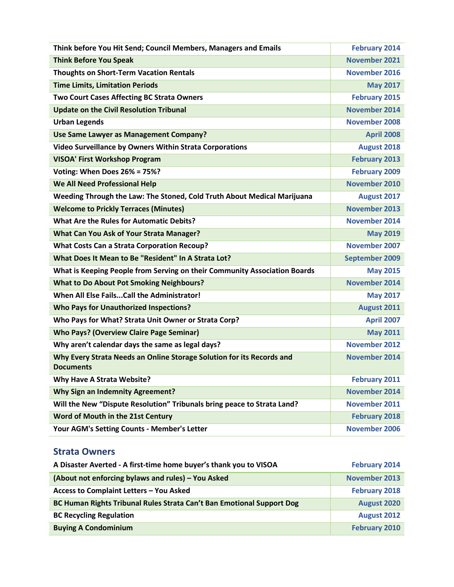| Think before You Hit Send; Council Members, Managers and Emails                           | <b>February 2014</b>  |
|-------------------------------------------------------------------------------------------|-----------------------|
| <b>Think Before You Speak</b>                                                             | <b>November 2021</b>  |
| <b>Thoughts on Short-Term Vacation Rentals</b>                                            | <b>November 2016</b>  |
| <b>Time Limits, Limitation Periods</b>                                                    | <b>May 2017</b>       |
| <b>Two Court Cases Affecting BC Strata Owners</b>                                         | <b>February 2015</b>  |
| <b>Update on the Civil Resolution Tribunal</b>                                            | <b>November 2014</b>  |
| <b>Urban Legends</b>                                                                      | <b>November 2008</b>  |
| Use Same Lawyer as Management Company?                                                    | <b>April 2008</b>     |
| Video Surveillance by Owners Within Strata Corporations                                   | August 2018           |
| <b>VISOA' First Workshop Program</b>                                                      | <b>February 2013</b>  |
| Voting: When Does 26% = 75%?                                                              | <b>February 2009</b>  |
| <b>We All Need Professional Help</b>                                                      | November 2010         |
| Weeding Through the Law: The Stoned, Cold Truth About Medical Marijuana                   | August 2017           |
| <b>Welcome to Prickly Terraces (Minutes)</b>                                              | <b>November 2013</b>  |
| <b>What Are the Rules for Automatic Debits?</b>                                           | <b>November 2014</b>  |
| <b>What Can You Ask of Your Strata Manager?</b>                                           | <b>May 2019</b>       |
| <b>What Costs Can a Strata Corporation Recoup?</b>                                        | <b>November 2007</b>  |
| What Does It Mean to Be "Resident" In A Strata Lot?                                       | <b>September 2009</b> |
| What is Keeping People from Serving on their Community Association Boards                 | <b>May 2015</b>       |
| <b>What to Do About Pot Smoking Neighbours?</b>                                           | <b>November 2014</b>  |
| When All Else Fails Call the Administrator!                                               | <b>May 2017</b>       |
| <b>Who Pays for Unauthorized Inspections?</b>                                             | August 2011           |
| Who Pays for What? Strata Unit Owner or Strata Corp?                                      | <b>April 2007</b>     |
| <b>Who Pays? (Overview Claire Page Seminar)</b>                                           | <b>May 2011</b>       |
| Why aren't calendar days the same as legal days?                                          | <b>November 2012</b>  |
| Why Every Strata Needs an Online Storage Solution for its Records and<br><b>Documents</b> | <b>November 2014</b>  |
| <b>Why Have A Strata Website?</b>                                                         | <b>February 2011</b>  |
| <b>Why Sign an Indemnity Agreement?</b>                                                   | <b>November 2014</b>  |
| Will the New "Dispute Resolution" Tribunals bring peace to Strata Land?                   | November 2011         |
| Word of Mouth in the 21st Century                                                         | <b>February 2018</b>  |
| Your AGM's Setting Counts - Member's Letter                                               | November 2006         |

#### <span id="page-17-0"></span>**Strata Owners**

| A Disaster Averted - A first-time home buyer's thank you to VISOA     | <b>February 2014</b> |
|-----------------------------------------------------------------------|----------------------|
| (About not enforcing bylaws and rules) – You Asked                    | <b>November 2013</b> |
| Access to Complaint Letters - You Asked                               | <b>February 2018</b> |
| BC Human Rights Tribunal Rules Strata Can't Ban Emotional Support Dog | August 2020          |
| <b>BC Recycling Regulation</b>                                        | <b>August 2012</b>   |
| <b>Buying A Condominium</b>                                           | February 2010        |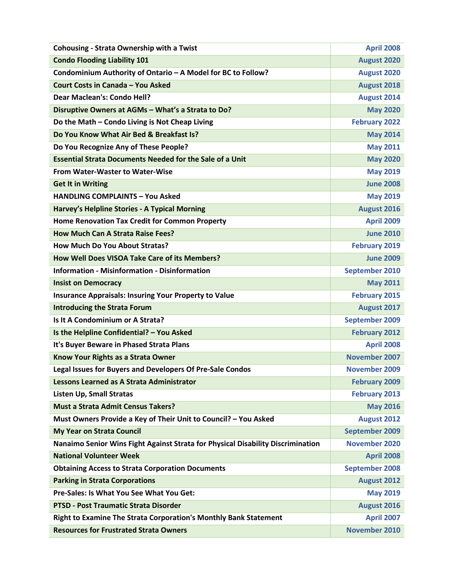| <b>Cohousing - Strata Ownership with a Twist</b>                                | <b>April 2008</b>     |
|---------------------------------------------------------------------------------|-----------------------|
| <b>Condo Flooding Liability 101</b>                                             | August 2020           |
| Condominium Authority of Ontario - A Model for BC to Follow?                    | <b>August 2020</b>    |
| Court Costs in Canada - You Asked                                               | August 2018           |
| <b>Dear Maclean's: Condo Hell?</b>                                              | August 2014           |
| Disruptive Owners at AGMs - What's a Strata to Do?                              | <b>May 2020</b>       |
| Do the Math - Condo Living is Not Cheap Living                                  | <b>February 2022</b>  |
| Do You Know What Air Bed & Breakfast Is?                                        | <b>May 2014</b>       |
| Do You Recognize Any of These People?                                           | <b>May 2011</b>       |
| <b>Essential Strata Documents Needed for the Sale of a Unit</b>                 | <b>May 2020</b>       |
| <b>From Water-Waster to Water-Wise</b>                                          | <b>May 2019</b>       |
| <b>Get It in Writing</b>                                                        | <b>June 2008</b>      |
| <b>HANDLING COMPLAINTS - You Asked</b>                                          | <b>May 2019</b>       |
| Harvey's Helpline Stories - A Typical Morning                                   | August 2016           |
| Home Renovation Tax Credit for Common Property                                  | <b>April 2009</b>     |
| <b>How Much Can A Strata Raise Fees?</b>                                        | <b>June 2010</b>      |
| <b>How Much Do You About Stratas?</b>                                           | <b>February 2019</b>  |
| How Well Does VISOA Take Care of its Members?                                   | <b>June 2009</b>      |
| <b>Information - Misinformation - Disinformation</b>                            | September 2010        |
| <b>Insist on Democracy</b>                                                      | <b>May 2011</b>       |
| <b>Insurance Appraisals: Insuring Your Property to Value</b>                    | <b>February 2015</b>  |
| <b>Introducing the Strata Forum</b>                                             | August 2017           |
| Is It A Condominium or A Strata?                                                | September 2009        |
| Is the Helpline Confidential? - You Asked                                       | <b>February 2012</b>  |
| It's Buyer Beware in Phased Strata Plans                                        | <b>April 2008</b>     |
| Know Your Rights as a Strata Owner                                              | November 2007         |
| Legal Issues for Buyers and Developers Of Pre-Sale Condos                       | <b>November 2009</b>  |
| <b>Lessons Learned as A Strata Administrator</b>                                | <b>February 2009</b>  |
| <b>Listen Up, Small Stratas</b>                                                 | <b>February 2013</b>  |
| <b>Must a Strata Admit Census Takers?</b>                                       | <b>May 2016</b>       |
| Must Owners Provide a Key of Their Unit to Council? - You Asked                 | <b>August 2012</b>    |
| <b>My Year on Strata Council</b>                                                | September 2009        |
| Nanaimo Senior Wins Fight Against Strata for Physical Disability Discrimination | <b>November 2020</b>  |
| <b>National Volunteer Week</b>                                                  | <b>April 2008</b>     |
| <b>Obtaining Access to Strata Corporation Documents</b>                         | <b>September 2008</b> |
| <b>Parking in Strata Corporations</b>                                           | August 2012           |
| Pre-Sales: Is What You See What You Get:                                        | <b>May 2019</b>       |
| <b>PTSD - Post Traumatic Strata Disorder</b>                                    | <b>August 2016</b>    |
| Right to Examine The Strata Corporation's Monthly Bank Statement                | <b>April 2007</b>     |
| <b>Resources for Frustrated Strata Owners</b>                                   | November 2010         |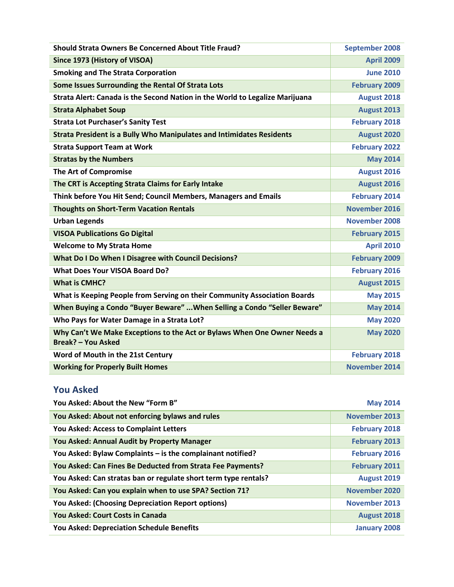| <b>Should Strata Owners Be Concerned About Title Fraud?</b>                                           | <b>September 2008</b> |
|-------------------------------------------------------------------------------------------------------|-----------------------|
| Since 1973 (History of VISOA)                                                                         | <b>April 2009</b>     |
| <b>Smoking and The Strata Corporation</b>                                                             | <b>June 2010</b>      |
| Some Issues Surrounding the Rental Of Strata Lots                                                     | <b>February 2009</b>  |
| Strata Alert: Canada is the Second Nation in the World to Legalize Marijuana                          | August 2018           |
| <b>Strata Alphabet Soup</b>                                                                           | August 2013           |
| <b>Strata Lot Purchaser's Sanity Test</b>                                                             | <b>February 2018</b>  |
| <b>Strata President is a Bully Who Manipulates and Intimidates Residents</b>                          | August 2020           |
| <b>Strata Support Team at Work</b>                                                                    | <b>February 2022</b>  |
| <b>Stratas by the Numbers</b>                                                                         | <b>May 2014</b>       |
| The Art of Compromise                                                                                 | August 2016           |
| The CRT is Accepting Strata Claims for Early Intake                                                   | August 2016           |
| Think before You Hit Send; Council Members, Managers and Emails                                       | <b>February 2014</b>  |
| <b>Thoughts on Short-Term Vacation Rentals</b>                                                        | November 2016         |
| <b>Urban Legends</b>                                                                                  | <b>November 2008</b>  |
| <b>VISOA Publications Go Digital</b>                                                                  | <b>February 2015</b>  |
| <b>Welcome to My Strata Home</b>                                                                      | <b>April 2010</b>     |
| <b>What Do I Do When I Disagree with Council Decisions?</b>                                           | <b>February 2009</b>  |
| <b>What Does Your VISOA Board Do?</b>                                                                 | <b>February 2016</b>  |
| <b>What is CMHC?</b>                                                                                  | August 2015           |
| What is Keeping People from Serving on their Community Association Boards                             | <b>May 2015</b>       |
| When Buying a Condo "Buyer Beware"  When Selling a Condo "Seller Beware"                              | <b>May 2014</b>       |
| Who Pays for Water Damage in a Strata Lot?                                                            | <b>May 2020</b>       |
| Why Can't We Make Exceptions to the Act or Bylaws When One Owner Needs a<br><b>Break? - You Asked</b> | <b>May 2020</b>       |
| Word of Mouth in the 21st Century                                                                     | <b>February 2018</b>  |
| <b>Working for Properly Built Homes</b>                                                               | <b>November 2014</b>  |

### <span id="page-19-0"></span>**You Asked**

| You Asked: About the New "Form B"                               | <b>May 2014</b>      |
|-----------------------------------------------------------------|----------------------|
| You Asked: About not enforcing bylaws and rules                 | <b>November 2013</b> |
| You Asked: Access to Complaint Letters                          | <b>February 2018</b> |
| You Asked: Annual Audit by Property Manager                     | <b>February 2013</b> |
| You Asked: Bylaw Complaints - is the complainant notified?      | <b>February 2016</b> |
| You Asked: Can Fines Be Deducted from Strata Fee Payments?      | <b>February 2011</b> |
| You Asked: Can stratas ban or regulate short term type rentals? | <b>August 2019</b>   |
| You Asked: Can you explain when to use SPA? Section 71?         | November 2020        |
| <b>You Asked: (Choosing Depreciation Report options)</b>        | <b>November 2013</b> |
| You Asked: Court Costs in Canada                                | <b>August 2018</b>   |
| <b>You Asked: Depreciation Schedule Benefits</b>                | <b>January 2008</b>  |